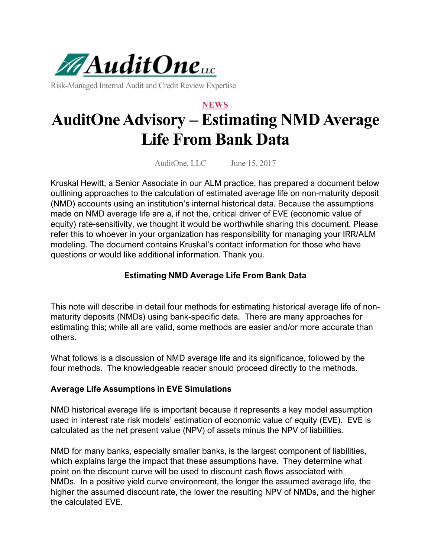

Risk-Managed Internal Audit and Credit Review Expertise

# **NEWS AuditOne Advisory – Estimating NMD Average Life From Bank Data**

AuditOne, LLC June 15, 2017

Kruskal Hewitt, a Senior Associate in our ALM practice, has prepared a document below outlining approaches to the calculation of estimated average life on non-maturity deposit (NMD) accounts using an institution's internal historical data. Because the assumptions made on NMD average life are a, if not the, critical driver of EVE (economic value of equity) rate-sensitivity, we thought it would be worthwhile sharing this document. Please refer this to whoever in your organization has responsibility for managing your IRR/ALM modeling. The document contains Kruskal's contact information for those who have questions or would like additional information. Thank you.

#### **Estimating NMD Average Life From Bank Data**

This note will describe in detail four methods for estimating historical average life of nonmaturity deposits (NMDs) using bank-specific data. There are many approaches for estimating this; while all are valid, some methods are easier and/or more accurate than others.

What follows is a discussion of NMD average life and its significance, followed by the four methods. The knowledgeable reader should proceed directly to the methods.

#### **Average Life Assumptions in EVE Simulations**

NMD historical average life is important because it represents a key model assumption used in interest rate risk models' estimation of economic value of equity (EVE). EVE is calculated as the net present value (NPV) of assets minus the NPV of liabilities.

NMD for many banks, especially smaller banks, is the largest component of liabilities, which explains large the impact that these assumptions have. They determine what point on the discount curve will be used to discount cash flows associated with NMDs. In a positive yield curve environment, the longer the assumed average life, the higher the assumed discount rate, the lower the resulting NPV of NMDs, and the higher the calculated EVE.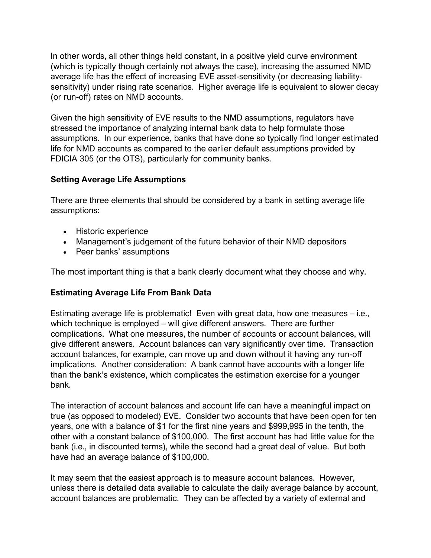In other words, all other things held constant, in a positive yield curve environment (which is typically though certainly not always the case), increasing the assumed NMD average life has the effect of increasing EVE asset-sensitivity (or decreasing liabilitysensitivity) under rising rate scenarios. Higher average life is equivalent to slower decay (or run-off) rates on NMD accounts.

Given the high sensitivity of EVE results to the NMD assumptions, regulators have stressed the importance of analyzing internal bank data to help formulate those assumptions. In our experience, banks that have done so typically find longer estimated life for NMD accounts as compared to the earlier default assumptions provided by FDICIA 305 (or the OTS), particularly for community banks.

## **Setting Average Life Assumptions**

There are three elements that should be considered by a bank in setting average life assumptions:

- Historic experience
- Management's judgement of the future behavior of their NMD depositors
- Peer banks' assumptions

The most important thing is that a bank clearly document what they choose and why.

#### **Estimating Average Life From Bank Data**

Estimating average life is problematic! Even with great data, how one measures – i.e., which technique is employed – will give different answers. There are further complications. What one measures, the number of accounts or account balances, will give different answers. Account balances can vary significantly over time. Transaction account balances, for example, can move up and down without it having any run-off implications. Another consideration: A bank cannot have accounts with a longer life than the bank's existence, which complicates the estimation exercise for a younger bank.

The interaction of account balances and account life can have a meaningful impact on true (as opposed to modeled) EVE. Consider two accounts that have been open for ten years, one with a balance of \$1 for the first nine years and \$999,995 in the tenth, the other with a constant balance of \$100,000. The first account has had little value for the bank (i.e., in discounted terms), while the second had a great deal of value. But both have had an average balance of \$100,000.

It may seem that the easiest approach is to measure account balances. However, unless there is detailed data available to calculate the daily average balance by account, account balances are problematic. They can be affected by a variety of external and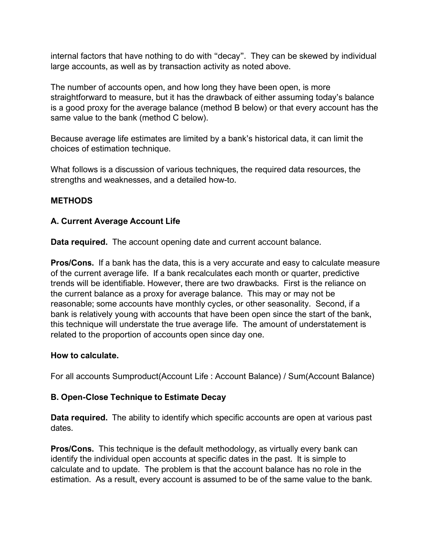internal factors that have nothing to do with "decay". They can be skewed by individual large accounts, as well as by transaction activity as noted above.

The number of accounts open, and how long they have been open, is more straightforward to measure, but it has the drawback of either assuming today's balance is a good proxy for the average balance (method B below) or that every account has the same value to the bank (method C below).

Because average life estimates are limited by a bank's historical data, it can limit the choices of estimation technique.

What follows is a discussion of various techniques, the required data resources, the strengths and weaknesses, and a detailed how-to.

## **METHODS**

## **A. Current Average Account Life**

**Data required.** The account opening date and current account balance.

**Pros/Cons.** If a bank has the data, this is a very accurate and easy to calculate measure of the current average life. If a bank recalculates each month or quarter, predictive trends will be identifiable. However, there are two drawbacks. First is the reliance on the current balance as a proxy for average balance. This may or may not be reasonable; some accounts have monthly cycles, or other seasonality. Second, if a bank is relatively young with accounts that have been open since the start of the bank, this technique will understate the true average life. The amount of understatement is related to the proportion of accounts open since day one.

#### **How to calculate.**

For all accounts Sumproduct(Account Life : Account Balance) / Sum(Account Balance)

## **B. Open-Close Technique to Estimate Decay**

**Data required.** The ability to identify which specific accounts are open at various past dates.

**Pros/Cons.** This technique is the default methodology, as virtually every bank can identify the individual open accounts at specific dates in the past. It is simple to calculate and to update. The problem is that the account balance has no role in the estimation. As a result, every account is assumed to be of the same value to the bank.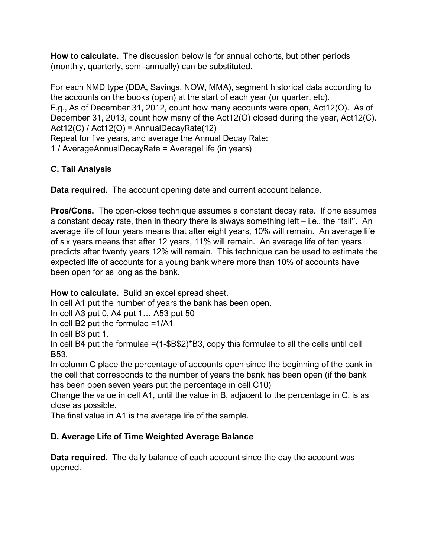**How to calculate.** The discussion below is for annual cohorts, but other periods (monthly, quarterly, semi-annually) can be substituted.

For each NMD type (DDA, Savings, NOW, MMA), segment historical data according to the accounts on the books (open) at the start of each year (or quarter, etc). E.g., As of December 31, 2012, count how many accounts were open, Act12(O). As of December 31, 2013, count how many of the Act12(O) closed during the year, Act12(C). Act12(C) / Act12(O) = AnnualDecayRate(12) Repeat for five years, and average the Annual Decay Rate: 1 / AverageAnnualDecayRate = AverageLife (in years)

# **C. Tail Analysis**

**Data required.** The account opening date and current account balance.

**Pros/Cons.** The open-close technique assumes a constant decay rate. If one assumes a constant decay rate, then in theory there is always something left – i.e., the "tail". An average life of four years means that after eight years, 10% will remain. An average life of six years means that after 12 years, 11% will remain. An average life of ten years predicts after twenty years 12% will remain. This technique can be used to estimate the expected life of accounts for a young bank where more than 10% of accounts have been open for as long as the bank.

**How to calculate.** Build an excel spread sheet.

In cell A1 put the number of years the bank has been open.

In cell A3 put 0, A4 put 1… A53 put 50

In cell B2 put the formulae =1/A1

In cell B3 put 1.

In cell B4 put the formulae =(1-\$B\$2)\*B3, copy this formulae to all the cells until cell B53.

In column C place the percentage of accounts open since the beginning of the bank in the cell that corresponds to the number of years the bank has been open (if the bank has been open seven years put the percentage in cell C10)

Change the value in cell A1, until the value in B, adjacent to the percentage in C, is as close as possible.

The final value in A1 is the average life of the sample.

# **D. Average Life of Time Weighted Average Balance**

**Data required**. The daily balance of each account since the day the account was opened.